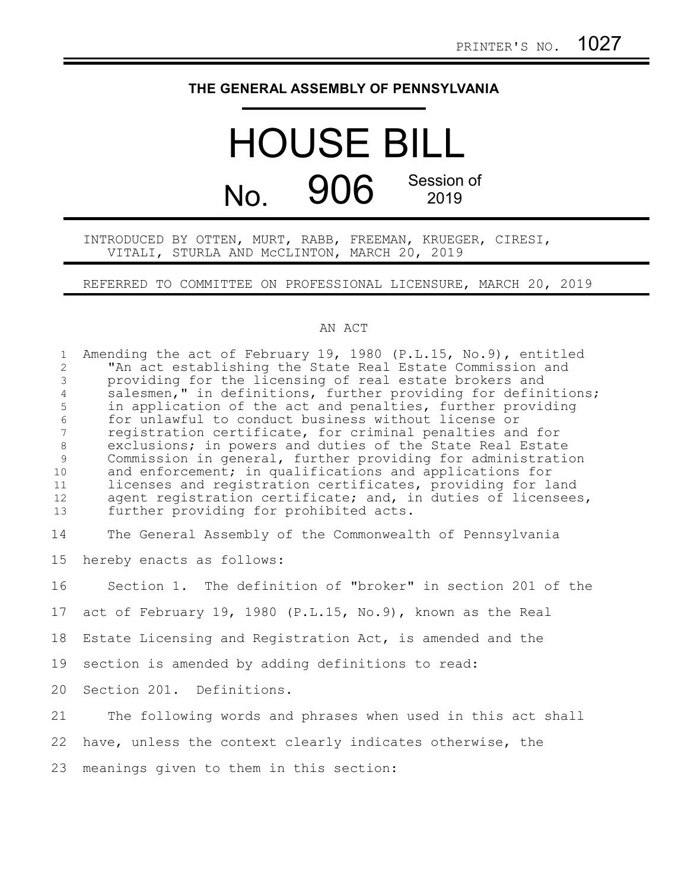## **THE GENERAL ASSEMBLY OF PENNSYLVANIA**

## HOUSE BILL No. 906 Session of 2019

INTRODUCED BY OTTEN, MURT, RABB, FREEMAN, KRUEGER, CIRESI, VITALI, STURLA AND McCLINTON, MARCH 20, 2019

REFERRED TO COMMITTEE ON PROFESSIONAL LICENSURE, MARCH 20, 2019

## AN ACT

Amending the act of February 19, 1980 (P.L.15, No.9), entitled "An act establishing the State Real Estate Commission and providing for the licensing of real estate brokers and salesmen," in definitions, further providing for definitions; in application of the act and penalties, further providing for unlawful to conduct business without license or registration certificate, for criminal penalties and for exclusions; in powers and duties of the State Real Estate Commission in general, further providing for administration and enforcement; in qualifications and applications for licenses and registration certificates, providing for land agent registration certificate; and, in duties of licensees, further providing for prohibited acts. The General Assembly of the Commonwealth of Pennsylvania hereby enacts as follows: Section 1. The definition of "broker" in section 201 of the act of February 19, 1980 (P.L.15, No.9), known as the Real Estate Licensing and Registration Act, is amended and the section is amended by adding definitions to read: Section 201. Definitions. The following words and phrases when used in this act shall have, unless the context clearly indicates otherwise, the meanings given to them in this section: 1 2 3 4 5 6 7 8 9 10 11 12 13 14 15 16 17 18 19 20 21 22 23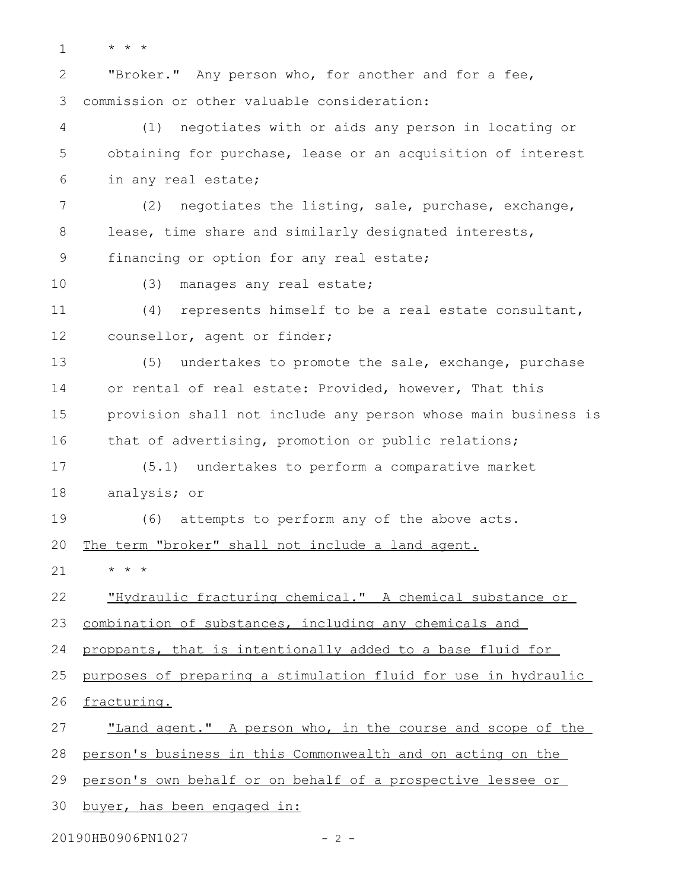1

\* \* \*

"Broker." Any person who, for another and for a fee, commission or other valuable consideration: 2 3

(1) negotiates with or aids any person in locating or obtaining for purchase, lease or an acquisition of interest in any real estate; 4 5 6

(2) negotiates the listing, sale, purchase, exchange, lease, time share and similarly designated interests, financing or option for any real estate; 7 8 9

10

(3) manages any real estate;

(4) represents himself to be a real estate consultant, counsellor, agent or finder; 11 12

(5) undertakes to promote the sale, exchange, purchase or rental of real estate: Provided, however, That this provision shall not include any person whose main business is that of advertising, promotion or public relations; 13 14 15 16

(5.1) undertakes to perform a comparative market analysis; or 17 18

(6) attempts to perform any of the above acts. 19

The term "broker" shall not include a land agent. 20

\* \* \* 21

"Hydraulic fracturing chemical." A chemical substance or 22

combination of substances, including any chemicals and 23

proppants, that is intentionally added to a base fluid for 24

purposes of preparing a stimulation fluid for use in hydraulic 25

fracturing. 26

"Land agent." A person who, in the course and scope of the 27

person's business in this Commonwealth and on acting on the 28

person's own behalf or on behalf of a prospective lessee or 29

buyer, has been engaged in: 30

20190HB0906PN1027 - 2 -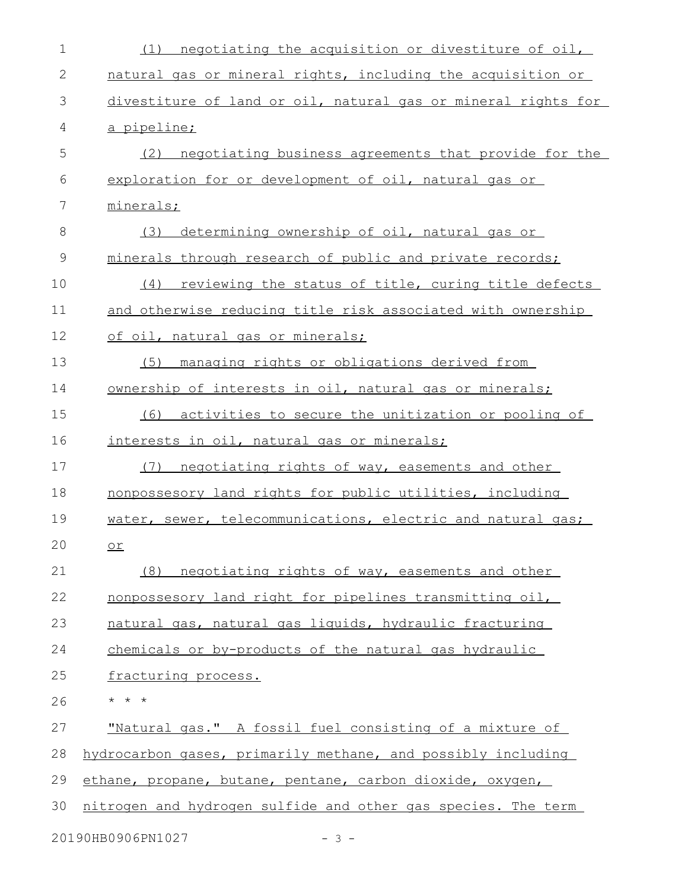| 1            | negotiating the acquisition or divestiture of oil,<br>(1)     |
|--------------|---------------------------------------------------------------|
| $\mathbf{2}$ | natural gas or mineral rights, including the acquisition or   |
| 3            | divestiture of land or oil, natural gas or mineral rights for |
| 4            | a pipeline;                                                   |
| 5            | (2)<br>negotiating business agreements that provide for the   |
| 6            | exploration for or development of oil, natural gas or         |
| 7            | minerals;                                                     |
| 8            | (3)<br>determining ownership of oil, natural gas or           |
| $\mathsf 9$  | minerals through research of public and private records;      |
| 10           | reviewing the status of title, curing title defects<br>(4)    |
| 11           | and otherwise reducing title risk associated with ownership   |
| 12           | of oil, natural gas or minerals;                              |
| 13           | managing rights or obligations derived from<br>(5)            |
| 14           | ownership of interests in oil, natural gas or minerals;       |
| 15           | activities to secure the unitization or pooling of<br>(6)     |
| 16           | interests in oil, natural gas or minerals;                    |
| 17           | negotiating rights of way, easements and other<br>(7)         |
| 18           | nonpossesory land rights for public utilities, including      |
| 19           | water, sewer, telecommunications, electric and natural gas;   |
| 20           | $\overline{or}$                                               |
| 21           | (8) negotiating rights of way, easements and other            |
| 22           | nonpossesory land right for pipelines transmitting oil,       |
| 23           | natural gas, natural gas liquids, hydraulic fracturing        |
| 24           | chemicals or by-products of the natural gas hydraulic         |
| 25           | fracturing process.                                           |
| 26           | $\star$ $\star$ $\star$                                       |
| 27           | "Natural gas." A fossil fuel consisting of a mixture of       |
| 28           | hydrocarbon gases, primarily methane, and possibly including  |
| 29           | ethane, propane, butane, pentane, carbon dioxide, oxygen,     |
| 30           | nitrogen and hydrogen sulfide and other gas species. The term |
|              | 20190HB0906PN1027<br>$-3 -$                                   |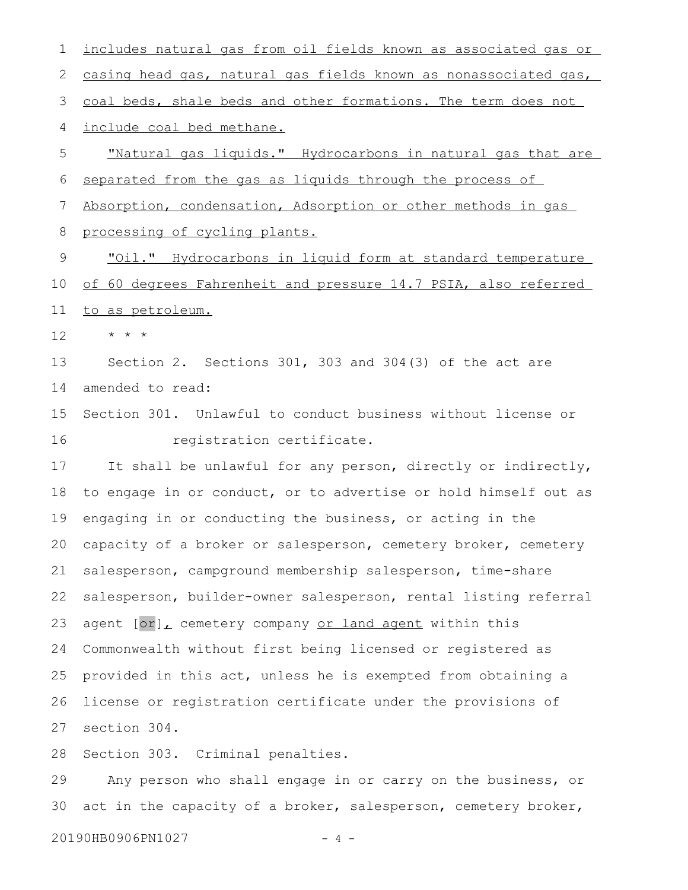includes natural gas from oil fields known as associated gas or casing head gas, natural gas fields known as nonassociated gas, coal beds, shale beds and other formations. The term does not include coal bed methane. "Natural gas liquids." Hydrocarbons in natural gas that are separated from the gas as liquids through the process of Absorption, condensation, Adsorption or other methods in gas processing of cycling plants. "Oil." Hydrocarbons in liquid form at standard temperature of 60 degrees Fahrenheit and pressure 14.7 PSIA, also referred to as petroleum. \* \* \* Section 2. Sections 301, 303 and 304(3) of the act are amended to read: Section 301. Unlawful to conduct business without license or registration certificate. It shall be unlawful for any person, directly or indirectly, to engage in or conduct, or to advertise or hold himself out as engaging in or conducting the business, or acting in the capacity of a broker or salesperson, cemetery broker, cemetery salesperson, campground membership salesperson, time-share salesperson, builder-owner salesperson, rental listing referral agent [or], cemetery company or land agent within this Commonwealth without first being licensed or registered as provided in this act, unless he is exempted from obtaining a license or registration certificate under the provisions of section 304. Section 303. Criminal penalties. Any person who shall engage in or carry on the business, or 1 2 3 4 5 6 7 8 9 10 11 12 13 14 15 16 17 18 19 20 21 22 23 24 25 26 27 28 29

20190HB0906PN1027 - 4 -

30

act in the capacity of a broker, salesperson, cemetery broker,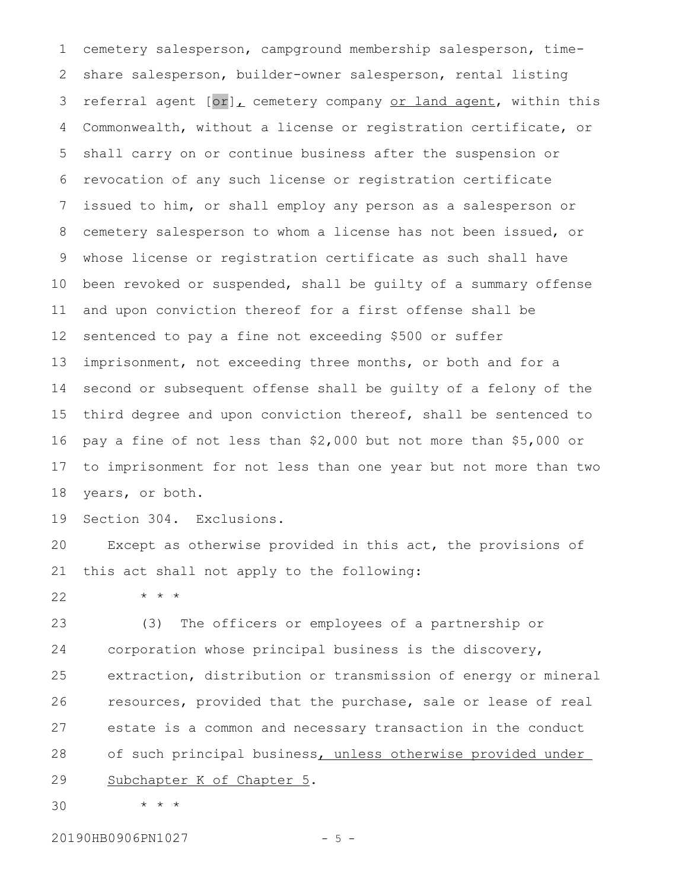cemetery salesperson, campground membership salesperson, timeshare salesperson, builder-owner salesperson, rental listing referral agent  $[or]_L$  cemetery company or land agent, within this Commonwealth, without a license or registration certificate, or shall carry on or continue business after the suspension or revocation of any such license or registration certificate issued to him, or shall employ any person as a salesperson or cemetery salesperson to whom a license has not been issued, or whose license or registration certificate as such shall have been revoked or suspended, shall be guilty of a summary offense and upon conviction thereof for a first offense shall be sentenced to pay a fine not exceeding \$500 or suffer imprisonment, not exceeding three months, or both and for a second or subsequent offense shall be guilty of a felony of the third degree and upon conviction thereof, shall be sentenced to pay a fine of not less than \$2,000 but not more than \$5,000 or to imprisonment for not less than one year but not more than two years, or both. 1 2 3 4 5 6 7 8 9 10 11 12 13 14 15 16 17 18

Section 304. Exclusions. 19

\* \* \*

Except as otherwise provided in this act, the provisions of this act shall not apply to the following: 20 21

22

(3) The officers or employees of a partnership or corporation whose principal business is the discovery, extraction, distribution or transmission of energy or mineral resources, provided that the purchase, sale or lease of real estate is a common and necessary transaction in the conduct of such principal business, unless otherwise provided under Subchapter K of Chapter 5. 23 24 25 26 27 28 29

\* \* \* 30

20190HB0906PN1027 - 5 -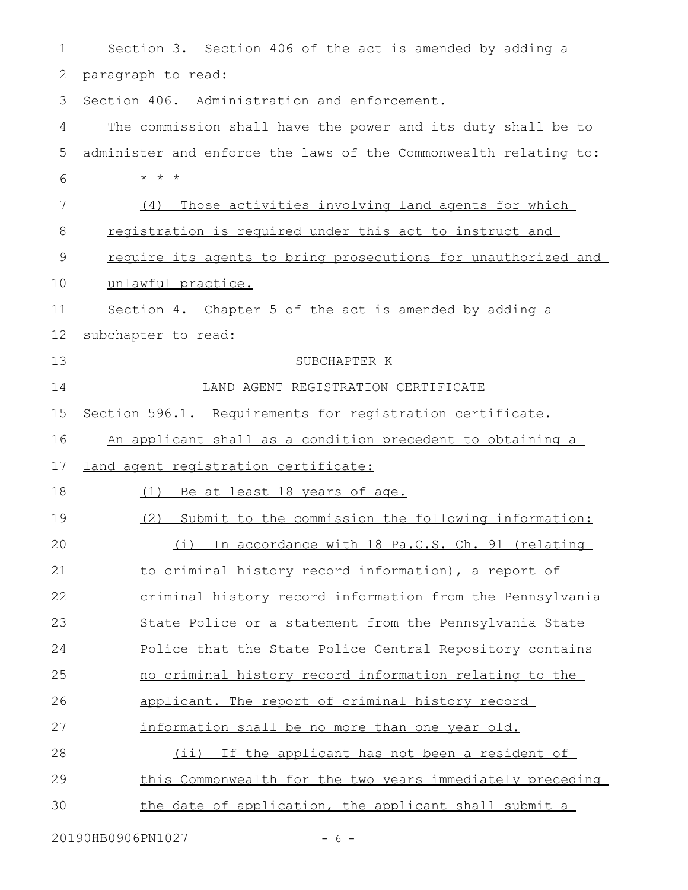| 1  | Section 3. Section 406 of the act is amended by adding a         |
|----|------------------------------------------------------------------|
| 2  | paragraph to read:                                               |
| 3  | Section 406. Administration and enforcement.                     |
| 4  | The commission shall have the power and its duty shall be to     |
| 5  | administer and enforce the laws of the Commonwealth relating to: |
| 6  | $\star$ $\star$ $\star$                                          |
| 7  | Those activities involving land agents for which<br>(4)          |
| 8  | registration is required under this act to instruct and          |
| 9  | require its agents to bring prosecutions for unauthorized and    |
| 10 | unlawful practice.                                               |
| 11 | Section 4. Chapter 5 of the act is amended by adding a           |
| 12 | subchapter to read:                                              |
| 13 | SUBCHAPTER K                                                     |
| 14 | LAND AGENT REGISTRATION CERTIFICATE                              |
| 15 | Section 596.1. Requirements for registration certificate.        |
| 16 | An applicant shall as a condition precedent to obtaining a       |
| 17 | land agent registration certificate:                             |
| 18 | Be at least 18 years of age.<br>(1)                              |
| 19 | Submit to the commission the following information:<br>(2)       |
| 20 | (i) In accordance with 18 Pa.C.S. Ch. 91 (relating               |
| 21 | to criminal history record information), a report of             |
| 22 | criminal history record information from the Pennsylvania        |
| 23 | State Police or a statement from the Pennsylvania State          |
| 24 | Police that the State Police Central Repository contains         |
| 25 | no criminal history record information relating to the           |
| 26 | applicant. The report of criminal history record                 |
| 27 |                                                                  |
|    | information shall be no more than one year old.                  |
| 28 | (ii) If the applicant has not been a resident of                 |
| 29 | this Commonwealth for the two years immediately preceding        |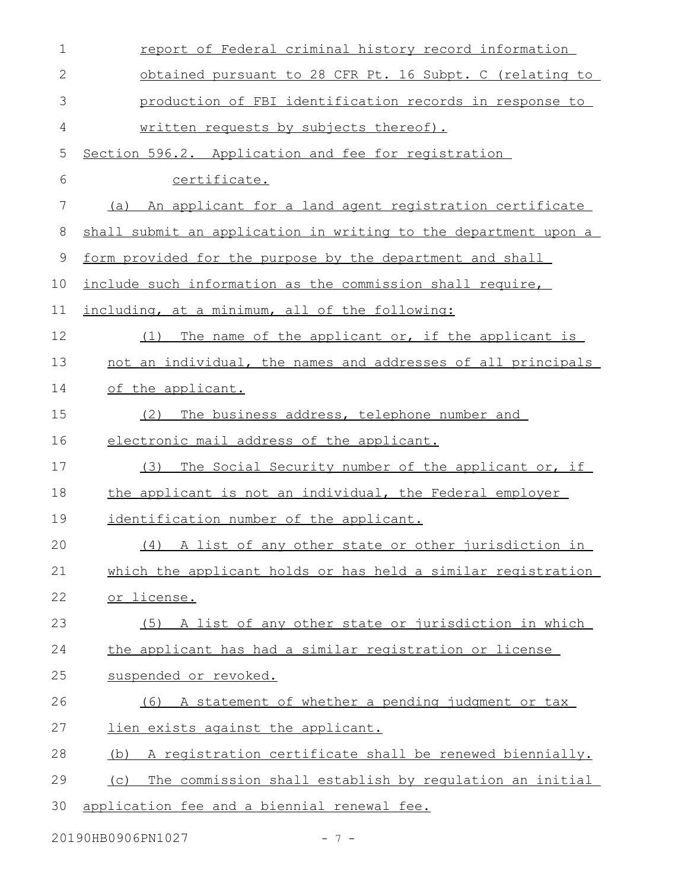| $\mathbf 1$  | report of Federal criminal history record information           |
|--------------|-----------------------------------------------------------------|
| $\mathbf{2}$ | obtained pursuant to 28 CFR Pt. 16 Subpt. C (relating to        |
| 3            | production of FBI identification records in response to         |
| 4            | written requests by subjects thereof).                          |
| 5            | Section 596.2. Application and fee for registration             |
| 6            | certificate.                                                    |
| 7            | An applicant for a land agent registration certificate<br>(a)   |
| 8            | shall submit an application in writing to the department upon a |
| 9            | form provided for the purpose by the department and shall       |
| 10           | include such information as the commission shall require,       |
| 11           | including, at a minimum, all of the following:                  |
| 12           | The name of the applicant or, if the applicant is<br>(1)        |
| 13           | not an individual, the names and addresses of all principals    |
| 14           | of the applicant.                                               |
| 15           | The business address, telephone number and<br>(2)               |
| 16           | electronic mail address of the applicant.                       |
| 17           | The Social Security number of the applicant or, if<br>(3)       |
| 18           | the applicant is not an individual, the Federal employer        |
| 19           | identification number of the applicant.                         |
| 20           | (4) A list of any other state or other jurisdiction in          |
| 21           | which the applicant holds or has held a similar registration    |
| 22           | or license.                                                     |
| 23           | (5) A list of any other state or jurisdiction in which          |
| 24           | the applicant has had a similar registration or license         |
| 25           | suspended or revoked.                                           |
| 26           | A statement of whether a pending judgment or tax<br>(6)         |
| 27           | lien exists against the applicant.                              |
| 28           | A registration certificate shall be renewed biennially.<br>(b)  |
| 29           | The commission shall establish by requlation an initial<br>(C)  |
| 30           | application fee and a biennial renewal fee.                     |

20190HB0906PN1027 - 7 -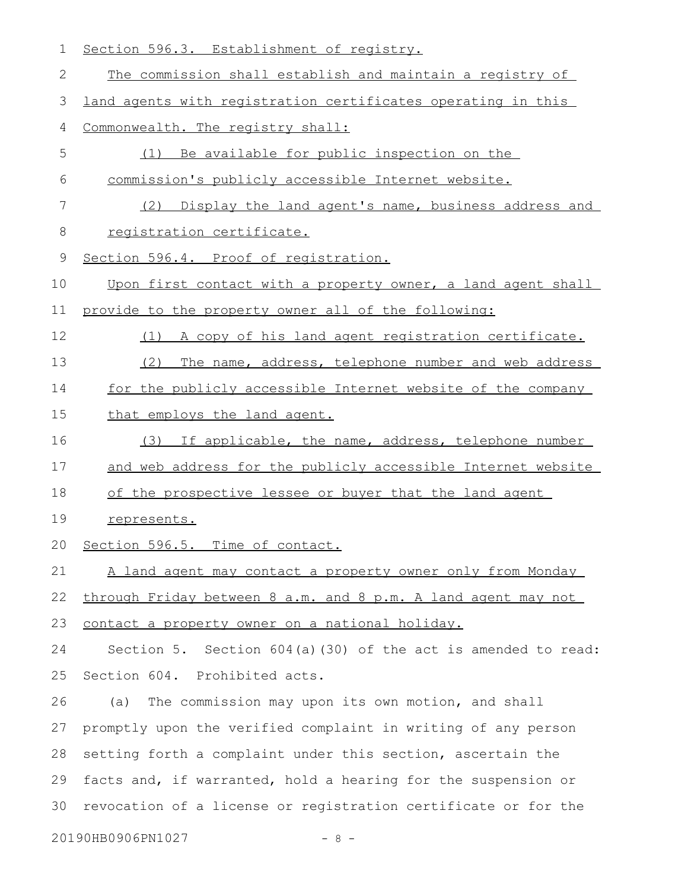| 1  | Section 596.3. Establishment of registry.                       |
|----|-----------------------------------------------------------------|
| 2  | The commission shall establish and maintain a registry of       |
| 3  | land agents with registration certificates operating in this    |
| 4  | Commonwealth. The registry shall:                               |
| 5  | Be available for public inspection on the<br>(1)                |
| 6  | commission's publicly accessible Internet website.              |
| 7  | (2) Display the land agent's name, business address and         |
| 8  | registration certificate.                                       |
| 9  | Section 596.4. Proof of registration.                           |
| 10 | Upon first contact with a property owner, a land agent shall    |
| 11 | provide to the property owner all of the following:             |
| 12 | A copy of his land agent registration certificate.<br>(1)       |
| 13 | The name, address, telephone number and web address<br>(2)      |
| 14 | for the publicly accessible Internet website of the company     |
| 15 | that employs the land agent.                                    |
| 16 | (3) If applicable, the name, address, telephone number          |
| 17 | and web address for the publicly accessible Internet website    |
| 18 | of the prospective lessee or buyer that the land agent          |
| 19 | represents.                                                     |
|    | 20 Section 596.5. Time of contact.                              |
| 21 | A land agent may contact a property owner only from Monday      |
| 22 | through Friday between 8 a.m. and 8 p.m. A land agent may not   |
| 23 | contact a property owner on a national holiday.                 |
| 24 | Section 5. Section $604(a)$ (30) of the act is amended to read: |
| 25 | Section 604. Prohibited acts.                                   |
| 26 | The commission may upon its own motion, and shall<br>(a)        |
| 27 | promptly upon the verified complaint in writing of any person   |
| 28 | setting forth a complaint under this section, ascertain the     |
| 29 | facts and, if warranted, hold a hearing for the suspension or   |
| 30 | revocation of a license or registration certificate or for the  |
|    | 20190HB0906PN1027<br>$-8 -$                                     |